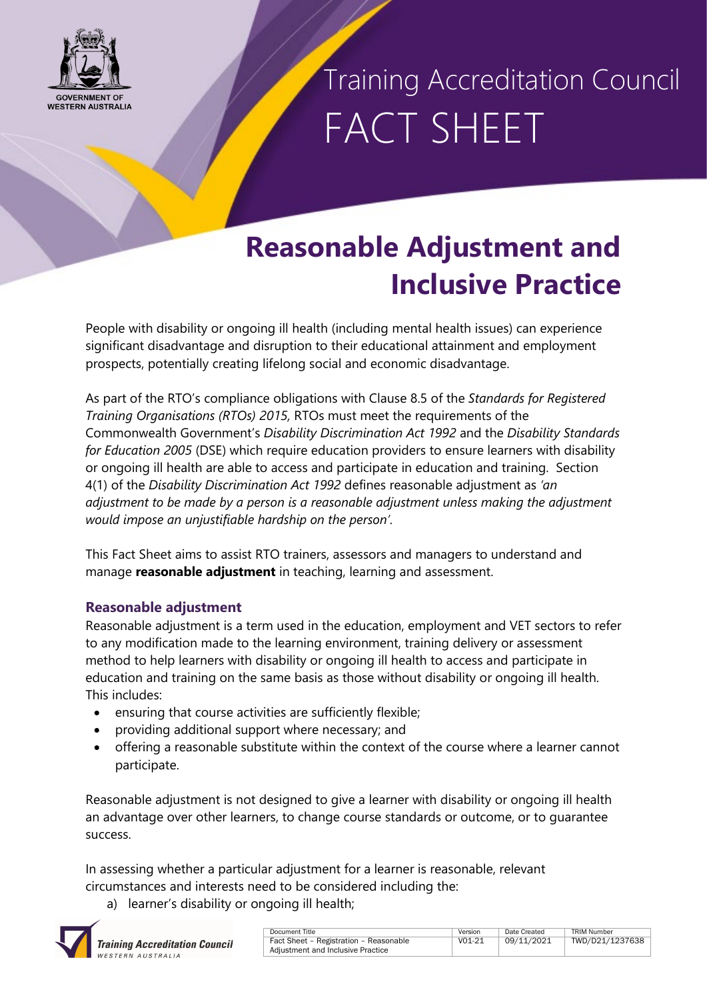

### Training Accreditation Council FACT SHEET

### **Reasonable Adjustment and Inclusive Practice**

People with disability or ongoing ill health (including mental health issues) can experience significant disadvantage and disruption to their educational attainment and employment prospects, potentially creating lifelong social and economic disadvantage.

As part of the RTO's compliance obligations with Clause 8.5 of the *Standards for Registered Training Organisations (RTOs) 2015,* RTOs must meet the requirements of the Commonwealth Government's *Disability Discrimination Act 1992* and the *Disability Standards for Education 2005* (DSE) which require education providers to ensure learners with disability or ongoing ill health are able to access and participate in education and training. Section 4(1) of the *Disability Discrimination Act 1992* defines reasonable adjustment as *'an adjustment to be made by a person is a reasonable adjustment unless making the adjustment would impose an unjustifiable hardship on the person'*.

This Fact Sheet aims to assist RTO trainers, assessors and managers to understand and manage **reasonable adjustment** in teaching, learning and assessment.

### **Reasonable adjustment**

Reasonable adjustment is a term used in the education, employment and VET sectors to refer to any modification made to the learning environment, training delivery or assessment method to help learners with disability or ongoing ill health to access and participate in education and training on the same basis as those without disability or ongoing ill health. This includes:

- ensuring that course activities are sufficiently flexible;
- providing additional support where necessary; and
- offering a reasonable substitute within the context of the course where a learner cannot participate.

Reasonable adjustment is not designed to give a learner with disability or ongoing ill health an advantage over other learners, to change course standards or outcome, or to guarantee success.

In assessing whether a particular adjustment for a learner is reasonable, relevant circumstances and interests need to be considered including the:

a) learner's disability or ongoing ill health;



| Document Title                         | Version  | Date Created | TRIM Number     |  |
|----------------------------------------|----------|--------------|-----------------|--|
| Fact Sheet - Registration - Reasonable | $V01-21$ | 09/11/2021   | TWD/D21/1237638 |  |
| Adjustment and Inclusive Practice      |          |              |                 |  |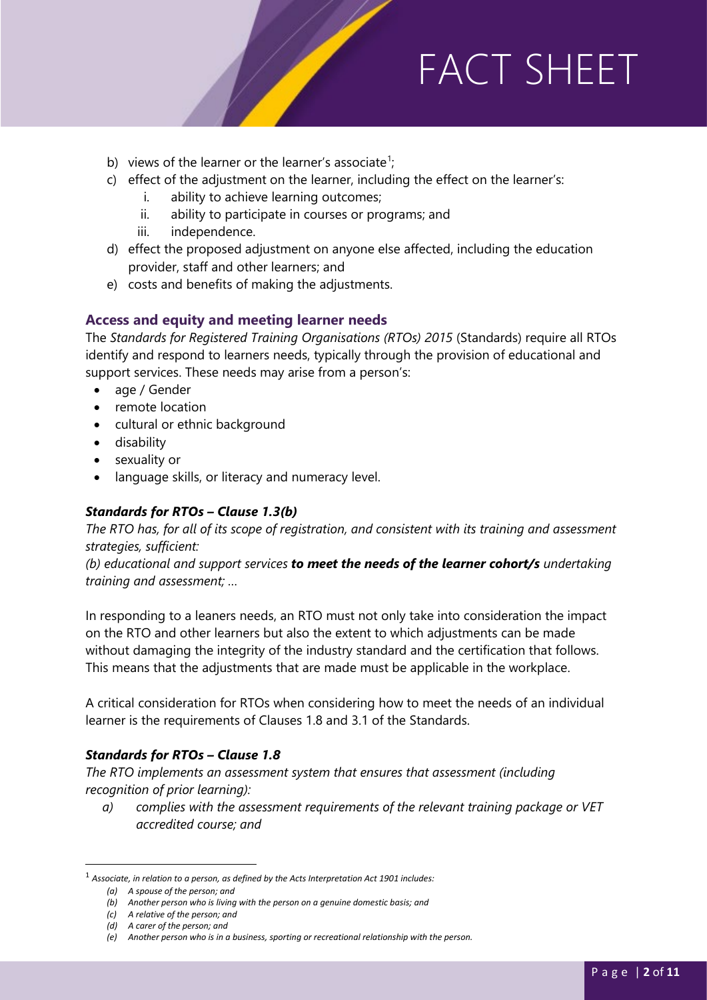FACTOR SHEET IS A STRONG SHEET IS A STRONG SHEET IS A STRONG SHEET IS A STRONG SHEET IS A STRONG SHEET IS AN I<br>The strong sheet is a strong sheet in the strong sheet in the strong sheet in the strong sheet in the strong s

- b) views of the learner or the learner's associate<sup>[1](#page-1-0)</sup>;
- c) effect of the adjustment on the learner, including the effect on the learner's:
	- i. ability to achieve learning outcomes;
	- ii. ability to participate in courses or programs; and
	- iii. independence.
- d) effect the proposed adjustment on anyone else affected, including the education provider, staff and other learners; and
- e) costs and benefits of making the adjustments.

### **Access and equity and meeting learner needs**

The *Standards for Registered Training Organisations (RTOs) 2015* (Standards) require all RTOs identify and respond to learners needs, typically through the provision of educational and support services. These needs may arise from a person's:

- age / Gender
- remote location
- cultural or ethnic background
- disability
- sexuality or
- language skills, or literacy and numeracy level.

### *Standards for RTOs – Clause 1.3(b)*

*The RTO has, for all of its scope of registration, and consistent with its training and assessment strategies, sufficient:*

*(b) educational and support services to meet the needs of the learner cohort/s undertaking training and assessment; …*

In responding to a leaners needs, an RTO must not only take into consideration the impact on the RTO and other learners but also the extent to which adjustments can be made without damaging the integrity of the industry standard and the certification that follows. This means that the adjustments that are made must be applicable in the workplace.

A critical consideration for RTOs when considering how to meet the needs of an individual learner is the requirements of Clauses 1.8 and 3.1 of the Standards.

### *Standards for RTOs – Clause 1.8*

*The RTO implements an assessment system that ensures that assessment (including recognition of prior learning):*

*a) complies with the assessment requirements of the relevant training package or VET accredited course; and*

<span id="page-1-0"></span> <sup>1</sup> *Associate, in relation to a person, as defined by the Acts Interpretation Act 1901 includes:*

*<sup>(</sup>a) A spouse of the person; and*

*<sup>(</sup>b) Another person who is living with the person on a genuine domestic basis; and*

*<sup>(</sup>c) A relative of the person; and*

*<sup>(</sup>d) A carer of the person; and*

*<sup>(</sup>e) Another person who is in a business, sporting or recreational relationship with the person.*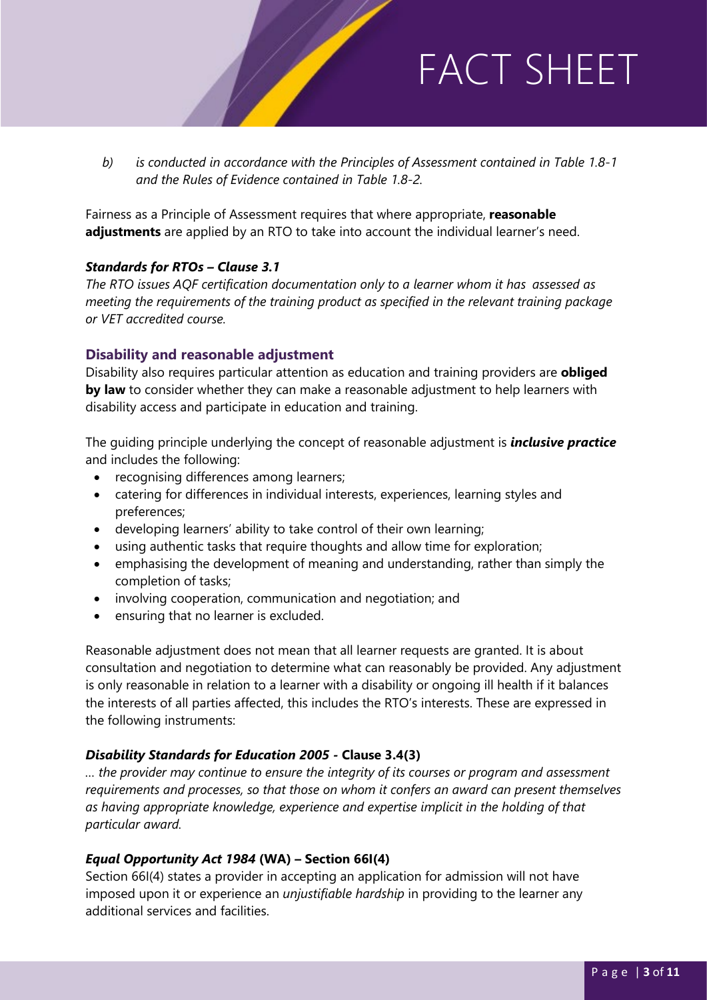*b) is conducted in accordance with the Principles of Assessment contained in Table 1.8-1 and the Rules of Evidence contained in Table 1.8-2.*

FACTOR SHEET IS A STRONG SHEET IS A STRONG SHEET IS A STRONG SHEET IS A STRONG SHEET IS A STRONG SHEET IS AN I<br>The strong sheet is a strong sheet in the strong sheet in the strong sheet in the strong sheet in the strong s

Fairness as a Principle of Assessment requires that where appropriate, **reasonable adjustments** are applied by an RTO to take into account the individual learner's need.

### *Standards for RTOs – Clause 3.1*

*The RTO issues AQF certification documentation only to a learner whom it has assessed as meeting the requirements of the training product as specified in the relevant training package or VET accredited course.*

#### **Disability and reasonable adjustment**

Disability also requires particular attention as education and training providers are **obliged by law** to consider whether they can make a reasonable adjustment to help learners with disability access and participate in education and training.

The guiding principle underlying the concept of reasonable adjustment is *inclusive practice* and includes the following:

- recognising differences among learners;
- catering for differences in individual interests, experiences, learning styles and preferences;
- developing learners' ability to take control of their own learning;
- using authentic tasks that require thoughts and allow time for exploration;
- emphasising the development of meaning and understanding, rather than simply the completion of tasks;
- involving cooperation, communication and negotiation; and
- ensuring that no learner is excluded.

Reasonable adjustment does not mean that all learner requests are granted. It is about consultation and negotiation to determine what can reasonably be provided. Any adjustment is only reasonable in relation to a learner with a disability or ongoing ill health if it balances the interests of all parties affected, this includes the RTO's interests. These are expressed in the following instruments:

### *Disability Standards for Education 2005 -* **Clause 3.4(3)**

*… the provider may continue to ensure the integrity of its courses or program and assessment requirements and processes, so that those on whom it confers an award can present themselves as having appropriate knowledge, experience and expertise implicit in the holding of that particular award.*

#### *Equal Opportunity Act 1984* **(WA) – Section 66I(4)**

Section 66I(4) states a provider in accepting an application for admission will not have imposed upon it or experience an *unjustifiable hardship* in providing to the learner any additional services and facilities.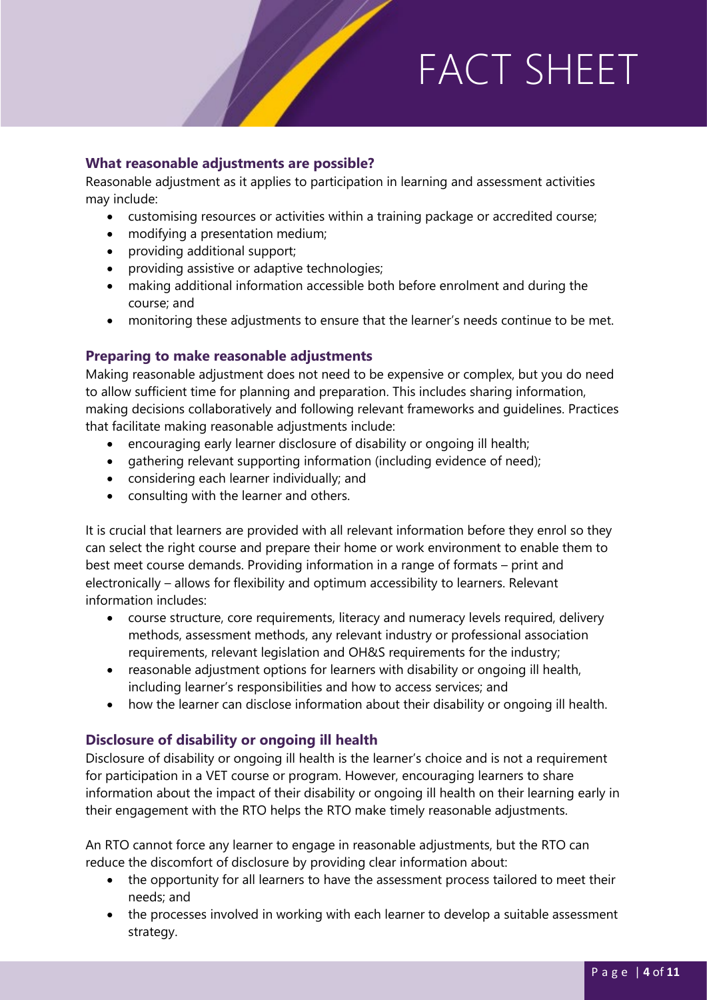#### **What reasonable adjustments are possible?**

Reasonable adjustment as it applies to participation in learning and assessment activities may include:

• customising resources or activities within a training package or accredited course;

FACTOR SHEET IS A STRONG SHEET IS A STRONG SHEET IS A STRONG SHEET IS A STRONG SHEET IS A STRONG SHEET IS AN I<br>The strong sheet is a strong sheet in the strong sheet in the strong sheet in the strong sheet in the strong s

- modifying a presentation medium;
- providing additional support;
- providing assistive or adaptive technologies;
- making additional information accessible both before enrolment and during the course; and
- monitoring these adjustments to ensure that the learner's needs continue to be met.

#### **Preparing to make reasonable adjustments**

Making reasonable adjustment does not need to be expensive or complex, but you do need to allow sufficient time for planning and preparation. This includes sharing information, making decisions collaboratively and following relevant frameworks and guidelines. Practices that facilitate making reasonable adjustments include:

- encouraging early learner disclosure of disability or ongoing ill health;
- gathering relevant supporting information (including evidence of need);
- considering each learner individually; and
- consulting with the learner and others.

It is crucial that learners are provided with all relevant information before they enrol so they can select the right course and prepare their home or work environment to enable them to best meet course demands. Providing information in a range of formats – print and electronically – allows for flexibility and optimum accessibility to learners. Relevant information includes:

- course structure, core requirements, literacy and numeracy levels required, delivery methods, assessment methods, any relevant industry or professional association requirements, relevant legislation and OH&S requirements for the industry;
- reasonable adjustment options for learners with disability or ongoing ill health, including learner's responsibilities and how to access services; and
- how the learner can disclose information about their disability or ongoing ill health.

### **Disclosure of disability or ongoing ill health**

Disclosure of disability or ongoing ill health is the learner's choice and is not a requirement for participation in a VET course or program. However, encouraging learners to share information about the impact of their disability or ongoing ill health on their learning early in their engagement with the RTO helps the RTO make timely reasonable adjustments.

An RTO cannot force any learner to engage in reasonable adjustments, but the RTO can reduce the discomfort of disclosure by providing clear information about:

- the opportunity for all learners to have the assessment process tailored to meet their needs; and
- the processes involved in working with each learner to develop a suitable assessment strategy.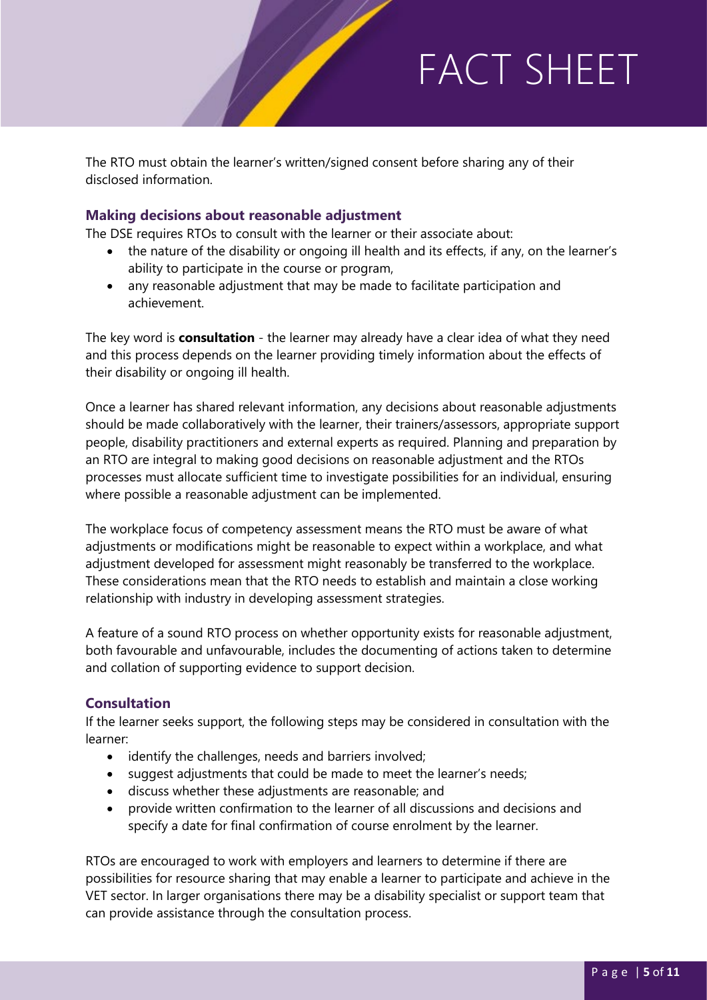The RTO must obtain the learner's written/signed consent before sharing any of their disclosed information.

### **Making decisions about reasonable adjustment**

The DSE requires RTOs to consult with the learner or their associate about:

• the nature of the disability or ongoing ill health and its effects, if any, on the learner's ability to participate in the course or program,

FACTOR SHEET IS A STRONG SHEET IS A STRONG SHEET IS A STRONG SHEET IS A STRONG SHEET IS A STRONG SHEET IS AN I<br>The strong sheet is a strong sheet in the strong sheet in the strong sheet in the strong sheet in the strong s

• any reasonable adjustment that may be made to facilitate participation and achievement.

The key word is **consultation** - the learner may already have a clear idea of what they need and this process depends on the learner providing timely information about the effects of their disability or ongoing ill health.

Once a learner has shared relevant information, any decisions about reasonable adjustments should be made collaboratively with the learner, their trainers/assessors, appropriate support people, disability practitioners and external experts as required. Planning and preparation by an RTO are integral to making good decisions on reasonable adjustment and the RTOs processes must allocate sufficient time to investigate possibilities for an individual, ensuring where possible a reasonable adjustment can be implemented.

The workplace focus of competency assessment means the RTO must be aware of what adjustments or modifications might be reasonable to expect within a workplace, and what adjustment developed for assessment might reasonably be transferred to the workplace. These considerations mean that the RTO needs to establish and maintain a close working relationship with industry in developing assessment strategies.

A feature of a sound RTO process on whether opportunity exists for reasonable adjustment, both favourable and unfavourable, includes the documenting of actions taken to determine and collation of supporting evidence to support decision.

### **Consultation**

If the learner seeks support, the following steps may be considered in consultation with the learner:

- identify the challenges, needs and barriers involved;
- suggest adjustments that could be made to meet the learner's needs;
- discuss whether these adjustments are reasonable; and
- provide written confirmation to the learner of all discussions and decisions and specify a date for final confirmation of course enrolment by the learner.

RTOs are encouraged to work with employers and learners to determine if there are possibilities for resource sharing that may enable a learner to participate and achieve in the VET sector. In larger organisations there may be a disability specialist or support team that can provide assistance through the consultation process.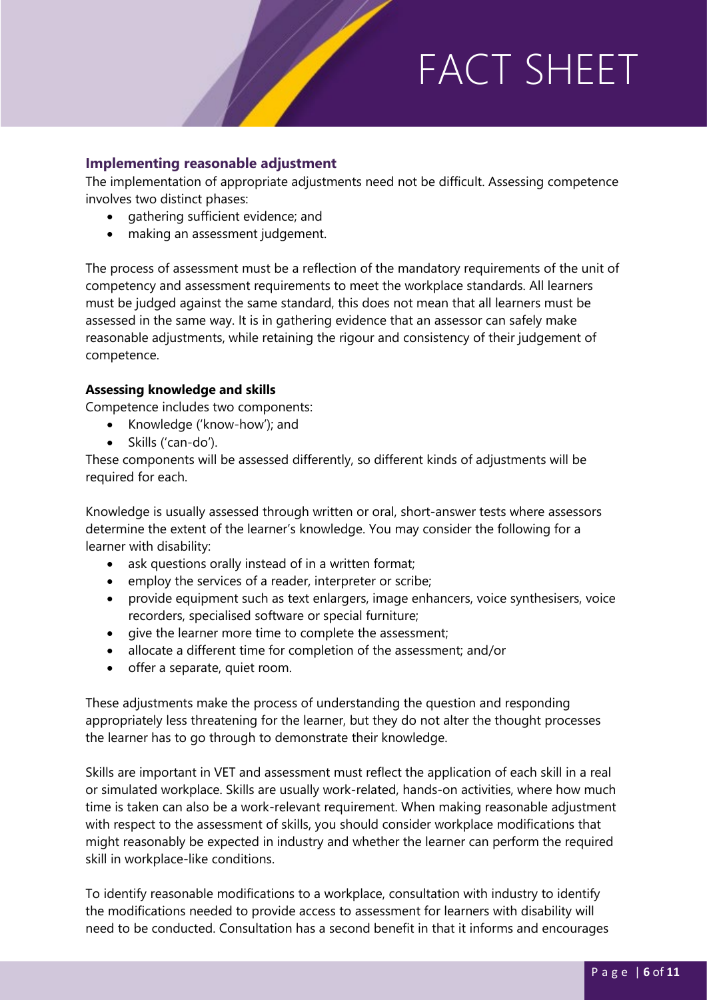#### **Implementing reasonable adjustment**

The implementation of appropriate adjustments need not be difficult. Assessing competence involves two distinct phases:

FACTOR SHEET IS A STRONG SHEET IS A STRONG SHEET IS A STRONG SHEET IS A STRONG SHEET IS A STRONG SHEET IS AN I<br>The strong sheet is a strong sheet in the strong sheet in the strong sheet in the strong sheet in the strong s

- gathering sufficient evidence; and
- making an assessment judgement.

The process of assessment must be a reflection of the mandatory requirements of the unit of competency and assessment requirements to meet the workplace standards. All learners must be judged against the same standard, this does not mean that all learners must be assessed in the same way. It is in gathering evidence that an assessor can safely make reasonable adjustments, while retaining the rigour and consistency of their judgement of competence.

#### **Assessing knowledge and skills**

Competence includes two components:

- Knowledge ('know-how'); and
- Skills ('can-do').

These components will be assessed differently, so different kinds of adjustments will be required for each.

Knowledge is usually assessed through written or oral, short-answer tests where assessors determine the extent of the learner's knowledge. You may consider the following for a learner with disability:

- ask questions orally instead of in a written format;
- employ the services of a reader, interpreter or scribe;
- provide equipment such as text enlargers, image enhancers, voice synthesisers, voice recorders, specialised software or special furniture;
- give the learner more time to complete the assessment;
- allocate a different time for completion of the assessment; and/or
- offer a separate, quiet room.

These adjustments make the process of understanding the question and responding appropriately less threatening for the learner, but they do not alter the thought processes the learner has to go through to demonstrate their knowledge.

Skills are important in VET and assessment must reflect the application of each skill in a real or simulated workplace. Skills are usually work-related, hands-on activities, where how much time is taken can also be a work-relevant requirement. When making reasonable adjustment with respect to the assessment of skills, you should consider workplace modifications that might reasonably be expected in industry and whether the learner can perform the required skill in workplace-like conditions.

To identify reasonable modifications to a workplace, consultation with industry to identify the modifications needed to provide access to assessment for learners with disability will need to be conducted. Consultation has a second benefit in that it informs and encourages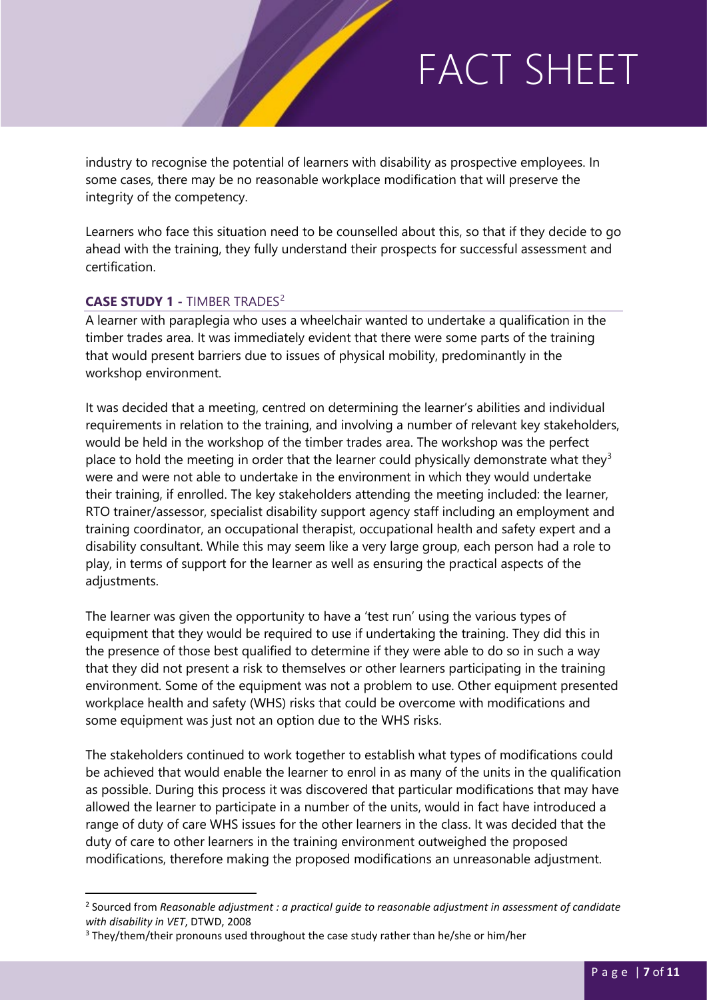industry to recognise the potential of learners with disability as prospective employees. In some cases, there may be no reasonable workplace modification that will preserve the integrity of the competency.

FACTOR SHEET IS A STRONG SHEET IS A STRONG SHEET IS A STRONG SHEET IS A STRONG SHEET IS A STRONG SHEET IS AN I<br>The strong sheet is a strong sheet in the strong sheet in the strong sheet in the strong sheet in the strong s

Learners who face this situation need to be counselled about this, so that if they decide to go ahead with the training, they fully understand their prospects for successful assessment and certification.

### **CASE STUDY 1 -** TIMBER TRADES[2](#page-6-0)

A learner with paraplegia who uses a wheelchair wanted to undertake a qualification in the timber trades area. It was immediately evident that there were some parts of the training that would present barriers due to issues of physical mobility, predominantly in the workshop environment.

It was decided that a meeting, centred on determining the learner's abilities and individual requirements in relation to the training, and involving a number of relevant key stakeholders, would be held in the workshop of the timber trades area. The workshop was the perfect place to hold the meeting in order that the learner could physically demonstrate what they<sup>[3](#page-6-1)</sup> were and were not able to undertake in the environment in which they would undertake their training, if enrolled. The key stakeholders attending the meeting included: the learner, RTO trainer/assessor, specialist disability support agency staff including an employment and training coordinator, an occupational therapist, occupational health and safety expert and a disability consultant. While this may seem like a very large group, each person had a role to play, in terms of support for the learner as well as ensuring the practical aspects of the adjustments.

The learner was given the opportunity to have a 'test run' using the various types of equipment that they would be required to use if undertaking the training. They did this in the presence of those best qualified to determine if they were able to do so in such a way that they did not present a risk to themselves or other learners participating in the training environment. Some of the equipment was not a problem to use. Other equipment presented workplace health and safety (WHS) risks that could be overcome with modifications and some equipment was just not an option due to the WHS risks.

The stakeholders continued to work together to establish what types of modifications could be achieved that would enable the learner to enrol in as many of the units in the qualification as possible. During this process it was discovered that particular modifications that may have allowed the learner to participate in a number of the units, would in fact have introduced a range of duty of care WHS issues for the other learners in the class. It was decided that the duty of care to other learners in the training environment outweighed the proposed modifications, therefore making the proposed modifications an unreasonable adjustment.

<span id="page-6-0"></span> <sup>2</sup> Sourced from *Reasonable adjustment : a practical guide to reasonable adjustment in assessment of candidate with disability in VET*, DTWD, 2008

<span id="page-6-1"></span><sup>&</sup>lt;sup>3</sup> They/them/their pronouns used throughout the case study rather than he/she or him/her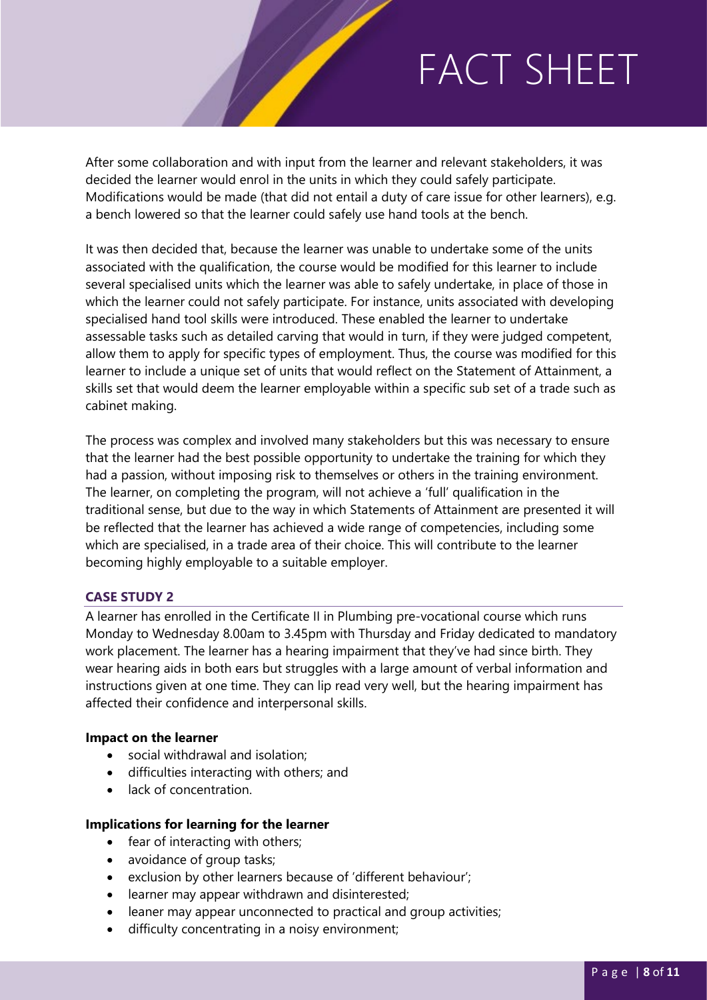FACTOR SHEET IS A STRONG SHEET IS A STRONG SHEET IS A STRONG SHEET IS A STRONG SHEET IS A STRONG SHEET IS AN I<br>The strong sheet is a strong sheet in the strong sheet in the strong sheet in the strong sheet in the strong s After some collaboration and with input from the learner and relevant stakeholders, it was decided the learner would enrol in the units in which they could safely participate. Modifications would be made (that did not entail a duty of care issue for other learners), e.g. a bench lowered so that the learner could safely use hand tools at the bench.

It was then decided that, because the learner was unable to undertake some of the units associated with the qualification, the course would be modified for this learner to include several specialised units which the learner was able to safely undertake, in place of those in which the learner could not safely participate. For instance, units associated with developing specialised hand tool skills were introduced. These enabled the learner to undertake assessable tasks such as detailed carving that would in turn, if they were judged competent, allow them to apply for specific types of employment. Thus, the course was modified for this learner to include a unique set of units that would reflect on the Statement of Attainment, a skills set that would deem the learner employable within a specific sub set of a trade such as cabinet making.

The process was complex and involved many stakeholders but this was necessary to ensure that the learner had the best possible opportunity to undertake the training for which they had a passion, without imposing risk to themselves or others in the training environment. The learner, on completing the program, will not achieve a 'full' qualification in the traditional sense, but due to the way in which Statements of Attainment are presented it will be reflected that the learner has achieved a wide range of competencies, including some which are specialised, in a trade area of their choice. This will contribute to the learner becoming highly employable to a suitable employer.

### **CASE STUDY 2**

A learner has enrolled in the Certificate II in Plumbing pre-vocational course which runs Monday to Wednesday 8.00am to 3.45pm with Thursday and Friday dedicated to mandatory work placement. The learner has a hearing impairment that they've had since birth. They wear hearing aids in both ears but struggles with a large amount of verbal information and instructions given at one time. They can lip read very well, but the hearing impairment has affected their confidence and interpersonal skills.

#### **Impact on the learner**

- social withdrawal and isolation;
- difficulties interacting with others; and
- lack of concentration

#### **Implications for learning for the learner**

- fear of interacting with others;
- avoidance of group tasks;
- exclusion by other learners because of 'different behaviour';
- learner may appear withdrawn and disinterested;
- leaner may appear unconnected to practical and group activities;
- difficulty concentrating in a noisy environment;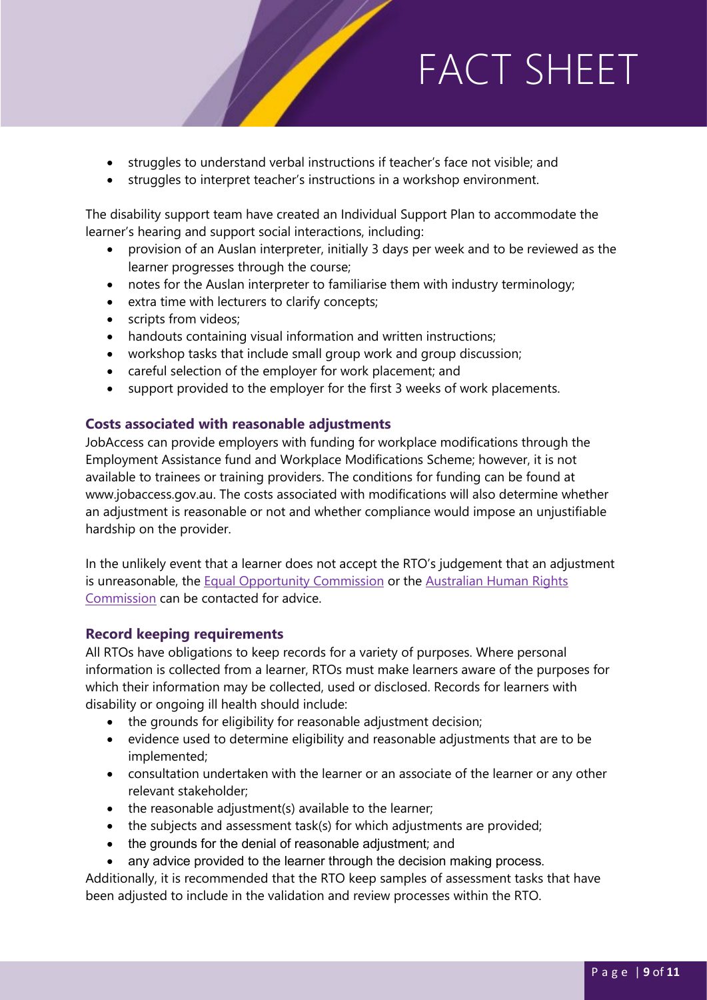- struggles to understand verbal instructions if teacher's face not visible; and
- struggles to interpret teacher's instructions in a workshop environment.

The disability support team have created an Individual Support Plan to accommodate the learner's hearing and support social interactions, including:

• provision of an Auslan interpreter, initially 3 days per week and to be reviewed as the learner progresses through the course;

FACTOR SHEET IS A STRONG SHEET IS A STRONG SHEET IS A STRONG SHEET IS A STRONG SHEET IS A STRONG SHEET IS AN I<br>The strong sheet is a strong sheet in the strong sheet in the strong sheet in the strong sheet in the strong s

- notes for the Auslan interpreter to familiarise them with industry terminology;
- extra time with lecturers to clarify concepts;
- scripts from videos;
- handouts containing visual information and written instructions;
- workshop tasks that include small group work and group discussion;
- careful selection of the employer for work placement; and
- support provided to the employer for the first 3 weeks of work placements.

#### **Costs associated with reasonable adjustments**

JobAccess can provide employers with funding for workplace modifications through the Employment Assistance fund and Workplace Modifications Scheme; however, it is not available to trainees or training providers. The conditions for funding can be found at www.jobaccess.gov.au. The costs associated with modifications will also determine whether an adjustment is reasonable or not and whether compliance would impose an unjustifiable hardship on the provider.

In the unlikely event that a learner does not accept the RTO's judgement that an adjustment is unreasonable, the [Equal Opportunity Commission](https://www.wa.gov.au/organisation/equal-opportunity-commission) or the [Australian Human Rights](https://humanrights.gov.au/)  [Commission](https://humanrights.gov.au/) can be contacted for advice.

#### **Record keeping requirements**

All RTOs have obligations to keep records for a variety of purposes. Where personal information is collected from a learner, RTOs must make learners aware of the purposes for which their information may be collected, used or disclosed. Records for learners with disability or ongoing ill health should include:

- the grounds for eligibility for reasonable adjustment decision;
- evidence used to determine eligibility and reasonable adjustments that are to be implemented;
- consultation undertaken with the learner or an associate of the learner or any other relevant stakeholder;
- the reasonable adjustment(s) available to the learner;
- the subjects and assessment task(s) for which adjustments are provided;
- the grounds for the denial of reasonable adjustment; and
- any advice provided to the learner through the decision making process.

Additionally, it is recommended that the RTO keep samples of assessment tasks that have been adjusted to include in the validation and review processes within the RTO.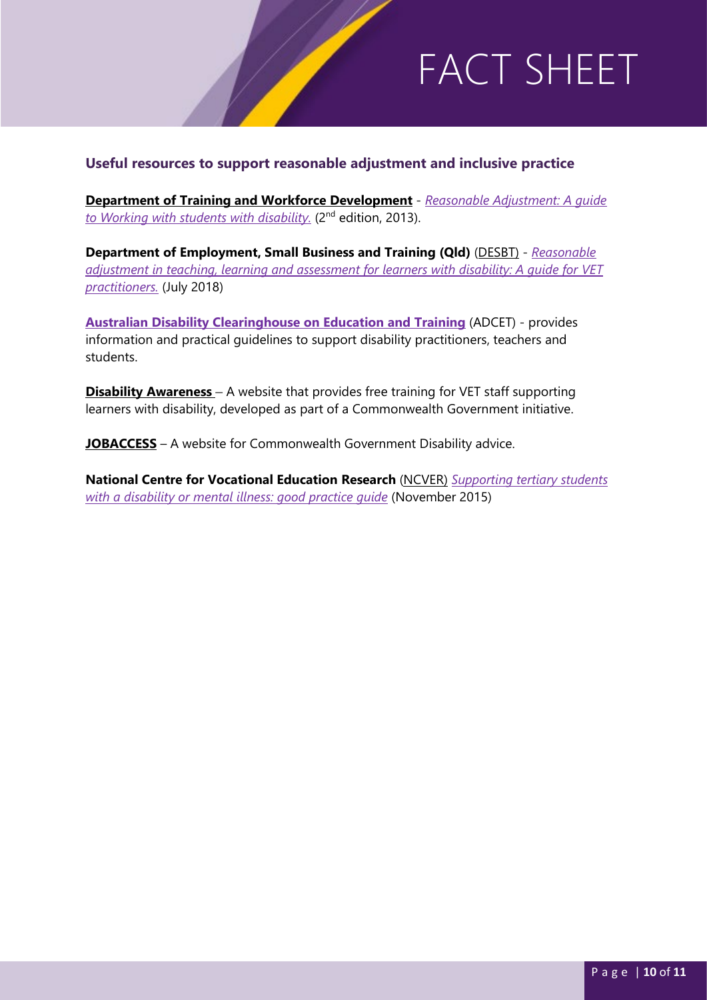### **Useful resources to support reasonable adjustment and inclusive practice**

**[Department of Training and Workforce De](https://www.dtwd.wa.gov.au/)velopment** - *[Reasonable Adjustment: A guide](https://ontargetworkskills.files.wordpress.com/2018/01/2013-wa-reasonable-adjustment.pdf)  [to Working with students with disability.](https://ontargetworkskills.files.wordpress.com/2018/01/2013-wa-reasonable-adjustment.pdf)* (2nd edition, 2013).

FACTOR SHEET IS A STRONG SHEET IS A STRONG SHEET IS A STRONG SHEET IS A STRONG SHEET IS A STRONG SHEET IS AN I<br>The strong sheet is a strong sheet in the strong sheet in the strong sheet in the strong sheet in the strong s

**Department of Employment, Small Business and Training (Qld)** [\(DESBT\)](https://desbt.qld.gov.au/) - *[Reasonable](https://desbt.qld.gov.au/__data/assets/pdf_file/0028/8299/reasonable-adjustment-for-web.pdf)  [adjustment in teaching, learning and assessment for learners with disability: A guide for VET](https://desbt.qld.gov.au/__data/assets/pdf_file/0028/8299/reasonable-adjustment-for-web.pdf)  [practitioners.](https://desbt.qld.gov.au/__data/assets/pdf_file/0028/8299/reasonable-adjustment-for-web.pdf)* (July 2018)

**[Australian Disability Clearinghouse on Education and Training](https://www.adcet.edu.au/)** (ADCET) - provides information and practical guidelines to support disability practitioners, teachers and students.

**[Disability Awareness](https://disabilityawareness.com.au/courses/program-1-vet-staff-supporting-students-with-disability/)** – A website that provides free training for VET staff supporting learners with disability, developed as part of a Commonwealth Government initiative.

**[JOBACCESS](https://www.jobaccess.gov.au/)** – A website for Commonwealth Government Disability advice.

**National Centre for Vocational Education Research** [\(NCVER\)](https://www.ncver.edu.au/) *[Supporting tertiary students](https://www.ncver.edu.au/research-and-statistics/publications/all-publications/supporting-tertiary-students-with-a-disability-or-mental-illness-good-practice-guide)  [with a disability or mental illness: good practice guide](https://www.ncver.edu.au/research-and-statistics/publications/all-publications/supporting-tertiary-students-with-a-disability-or-mental-illness-good-practice-guide)* (November 2015)